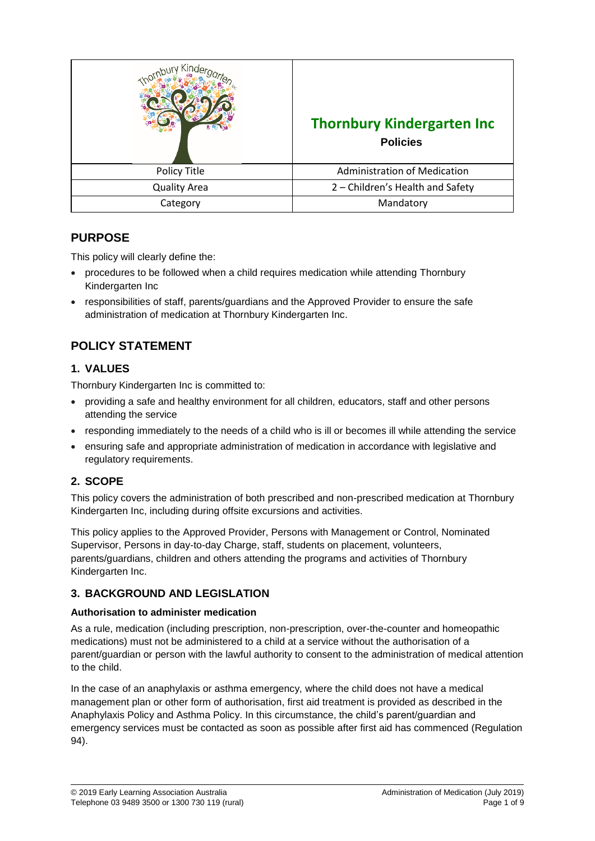| ind.                | <b>Thornbury Kindergarten Inc</b><br><b>Policies</b> |
|---------------------|------------------------------------------------------|
| Policy Title        | <b>Administration of Medication</b>                  |
| <b>Quality Area</b> | 2 - Children's Health and Safety                     |
| Category            | Mandatory                                            |

## **PURPOSE**

This policy will clearly define the:

- procedures to be followed when a child requires medication while attending Thornbury Kindergarten Inc
- responsibilities of staff, parents/guardians and the Approved Provider to ensure the safe administration of medication at Thornbury Kindergarten Inc.

# **POLICY STATEMENT**

## **1. VALUES**

Thornbury Kindergarten Inc is committed to:

- providing a safe and healthy environment for all children, educators, staff and other persons attending the service
- responding immediately to the needs of a child who is ill or becomes ill while attending the service
- ensuring safe and appropriate administration of medication in accordance with legislative and regulatory requirements.

## **2. SCOPE**

This policy covers the administration of both prescribed and non-prescribed medication at Thornbury Kindergarten Inc, including during offsite excursions and activities.

This policy applies to the Approved Provider, Persons with Management or Control, Nominated Supervisor, Persons in day-to-day Charge, staff, students on placement, volunteers, parents/guardians, children and others attending the programs and activities of Thornbury Kindergarten Inc.

## **3. BACKGROUND AND LEGISLATION**

#### **Authorisation to administer medication**

As a rule, medication (including prescription, non-prescription, over-the-counter and homeopathic medications) must not be administered to a child at a service without the authorisation of a parent/guardian or person with the lawful authority to consent to the administration of medical attention to the child.

In the case of an anaphylaxis or asthma emergency, where the child does not have a medical management plan or other form of authorisation, first aid treatment is provided as described in the Anaphylaxis Policy and Asthma Policy. In this circumstance, the child's parent/guardian and emergency services must be contacted as soon as possible after first aid has commenced (Regulation 94).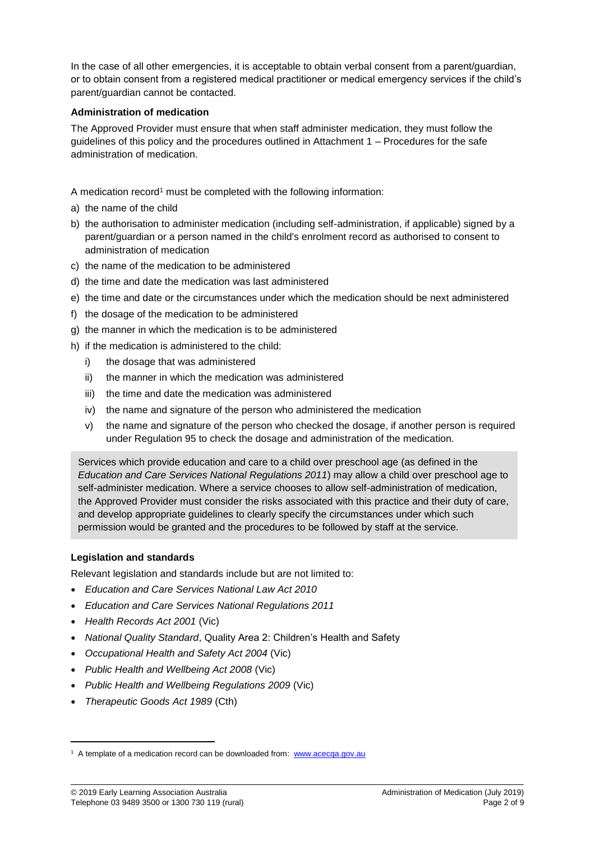In the case of all other emergencies, it is acceptable to obtain verbal consent from a parent/guardian, or to obtain consent from a registered medical practitioner or medical emergency services if the child's parent/guardian cannot be contacted.

#### **Administration of medication**

The Approved Provider must ensure that when staff administer medication, they must follow the guidelines of this policy and the procedures outlined in Attachment 1 – Procedures for the safe administration of medication.

A medication record<sup>1</sup> must be completed with the following information:

- a) the name of the child
- b) the authorisation to administer medication (including self-administration, if applicable) signed by a parent/guardian or a person named in the child's enrolment record as authorised to consent to administration of medication
- c) the name of the medication to be administered
- d) the time and date the medication was last administered
- e) the time and date or the circumstances under which the medication should be next administered
- f) the dosage of the medication to be administered
- g) the manner in which the medication is to be administered
- h) if the medication is administered to the child:
	- i) the dosage that was administered
	- ii) the manner in which the medication was administered
	- iii) the time and date the medication was administered
	- iv) the name and signature of the person who administered the medication
	- v) the name and signature of the person who checked the dosage, if another person is required under Regulation 95 to check the dosage and administration of the medication.

Services which provide education and care to a child over preschool age (as defined in the *Education and Care Services National Regulations 2011*) may allow a child over preschool age to self-administer medication. Where a service chooses to allow self-administration of medication, the Approved Provider must consider the risks associated with this practice and their duty of care, and develop appropriate guidelines to clearly specify the circumstances under which such permission would be granted and the procedures to be followed by staff at the service.

#### **Legislation and standards**

Relevant legislation and standards include but are not limited to:

- *Education and Care Services National Law Act 2010*
- *Education and Care Services National Regulations 2011*
- *Health Records Act 2001* (Vic)
- *National Quality Standard*, Quality Area 2: Children's Health and Safety
- *Occupational Health and Safety Act 2004* (Vic)
- *Public Health and Wellbeing Act 2008* (Vic)
- *Public Health and Wellbeing Regulations 2009* (Vic)
- *Therapeutic Goods Act 1989* (Cth)

 $\overline{\phantom{a}}$ 

<sup>&</sup>lt;sup>1</sup> A template of a medication record can be downloaded from: [www.acecqa.gov.au](http://www.acecqa.gov.au/)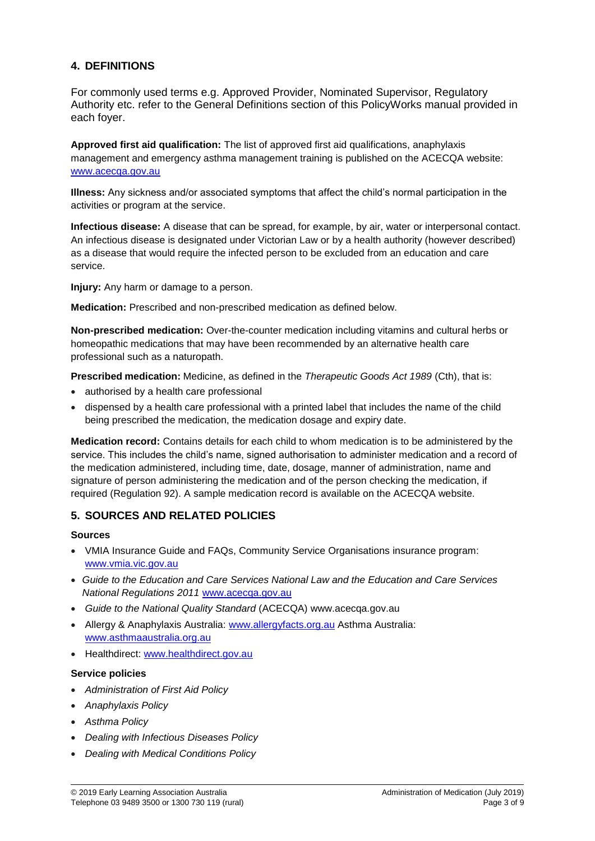### **4. DEFINITIONS**

For commonly used terms e.g. Approved Provider, Nominated Supervisor, Regulatory Authority etc. refer to the General Definitions section of this PolicyWorks manual provided in each foyer.

**Approved first aid qualification:** The list of approved first aid qualifications, anaphylaxis management and emergency asthma management training is published on the ACECQA website: [www.acecqa.gov.au](http://www.acecqa.gov.au/)

**Illness:** Any sickness and/or associated symptoms that affect the child's normal participation in the activities or program at the service.

**Infectious disease:** A disease that can be spread, for example, by air, water or interpersonal contact. An infectious disease is designated under Victorian Law or by a health authority (however described) as a disease that would require the infected person to be excluded from an education and care service.

**Injury:** Any harm or damage to a person.

**Medication:** Prescribed and non-prescribed medication as defined below.

**Non-prescribed medication:** Over-the-counter medication including vitamins and cultural herbs or homeopathic medications that may have been recommended by an alternative health care professional such as a naturopath.

**Prescribed medication:** Medicine, as defined in the *Therapeutic Goods Act 1989* (Cth), that is:

- authorised by a health care professional
- dispensed by a health care professional with a printed label that includes the name of the child being prescribed the medication, the medication dosage and expiry date.

**Medication record:** Contains details for each child to whom medication is to be administered by the service. This includes the child's name, signed authorisation to administer medication and a record of the medication administered, including time, date, dosage, manner of administration, name and signature of person administering the medication and of the person checking the medication, if required (Regulation 92). A sample medication record is available on the ACECQA website.

### **5. SOURCES AND RELATED POLICIES**

#### **Sources**

- VMIA Insurance Guide and FAQs, Community Service Organisations insurance program: [www.vmia.vic.gov.au](http://www.vmia.vic.gov.au/)
- *Guide to the Education and Care Services National Law and the Education and Care Services National Regulations 2011* [www.acecqa.gov.au](http://www.acecqa.gov.au/)
- *Guide to the National Quality Standard* (ACECQA) www.acecqa.gov.au
- Allergy & Anaphylaxis Australia: [www.allergyfacts.org.au](http://www.allergyfacts.org.au/) Asthma Australia: [www.asthmaaustralia.org.au](http://www.asthmaaustralia.org.au/)
- Healthdirect: [www.healthdirect.gov.au](http://www.healthdirect.gov.au/)

#### **Service policies**

- *Administration of First Aid Policy*
- *Anaphylaxis Policy*
- *Asthma Policy*
- *Dealing with Infectious Diseases Policy*
- *Dealing with Medical Conditions Policy*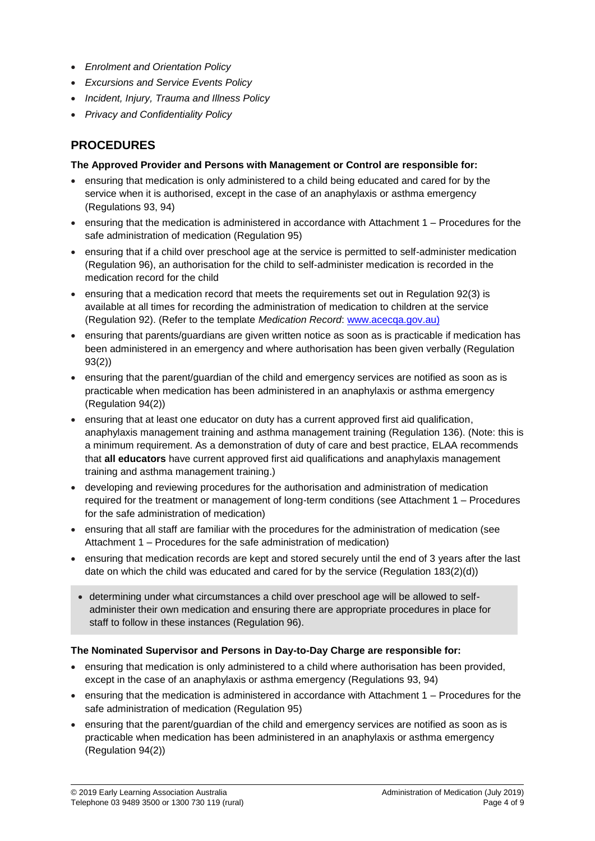- *Enrolment and Orientation Policy*
- *Excursions and Service Events Policy*
- *Incident, Injury, Trauma and Illness Policy*
- *Privacy and Confidentiality Policy*

## **PROCEDURES**

#### **The Approved Provider and Persons with Management or Control are responsible for:**

- ensuring that medication is only administered to a child being educated and cared for by the service when it is authorised, except in the case of an anaphylaxis or asthma emergency (Regulations 93, 94)
- ensuring that the medication is administered in accordance with Attachment 1 Procedures for the safe administration of medication (Regulation 95)
- ensuring that if a child over preschool age at the service is permitted to self-administer medication (Regulation 96), an authorisation for the child to self-administer medication is recorded in the medication record for the child
- ensuring that a medication record that meets the requirements set out in Regulation 92(3) is available at all times for recording the administration of medication to children at the service (Regulation 92). (Refer to the template *Medication Record*: [www.acecqa.gov.au\)](http://www.acecqa.gov.au/)
- ensuring that parents/guardians are given written notice as soon as is practicable if medication has been administered in an emergency and where authorisation has been given verbally (Regulation 93(2))
- ensuring that the parent/guardian of the child and emergency services are notified as soon as is practicable when medication has been administered in an anaphylaxis or asthma emergency (Regulation 94(2))
- ensuring that at least one educator on duty has a current approved first aid qualification, anaphylaxis management training and asthma management training (Regulation 136). (Note: this is a minimum requirement. As a demonstration of duty of care and best practice, ELAA recommends that **all educators** have current approved first aid qualifications and anaphylaxis management training and asthma management training.)
- developing and reviewing procedures for the authorisation and administration of medication required for the treatment or management of long-term conditions (see Attachment 1 – Procedures for the safe administration of medication)
- ensuring that all staff are familiar with the procedures for the administration of medication (see Attachment 1 – Procedures for the safe administration of medication)
- ensuring that medication records are kept and stored securely until the end of 3 years after the last date on which the child was educated and cared for by the service (Regulation 183(2)(d))
	- determining under what circumstances a child over preschool age will be allowed to selfadminister their own medication and ensuring there are appropriate procedures in place for staff to follow in these instances (Regulation 96).

#### **The Nominated Supervisor and Persons in Day-to-Day Charge are responsible for:**

- ensuring that medication is only administered to a child where authorisation has been provided, except in the case of an anaphylaxis or asthma emergency (Regulations 93, 94)
- ensuring that the medication is administered in accordance with Attachment 1 Procedures for the safe administration of medication (Regulation 95)
- ensuring that the parent/guardian of the child and emergency services are notified as soon as is practicable when medication has been administered in an anaphylaxis or asthma emergency (Regulation 94(2))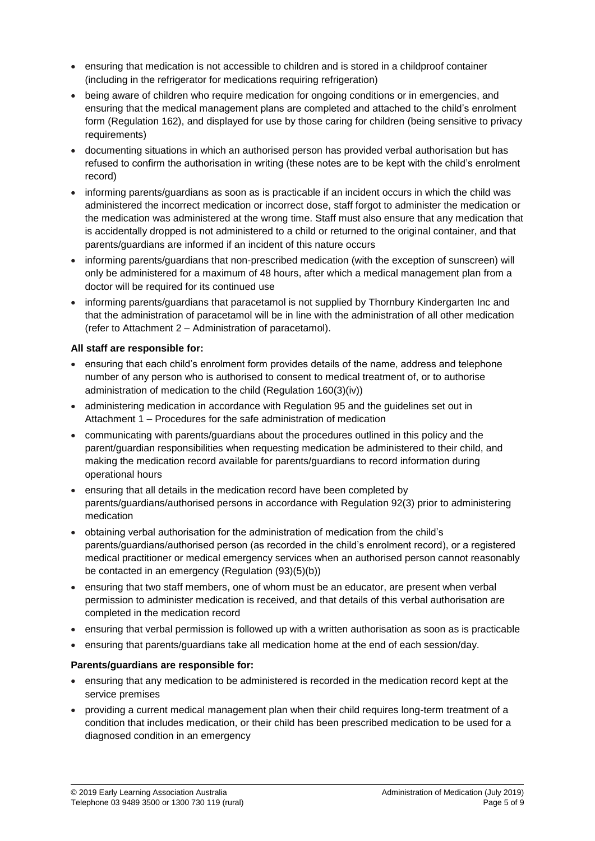- ensuring that medication is not accessible to children and is stored in a childproof container (including in the refrigerator for medications requiring refrigeration)
- being aware of children who require medication for ongoing conditions or in emergencies, and ensuring that the medical management plans are completed and attached to the child's enrolment form (Regulation 162), and displayed for use by those caring for children (being sensitive to privacy requirements)
- documenting situations in which an authorised person has provided verbal authorisation but has refused to confirm the authorisation in writing (these notes are to be kept with the child's enrolment record)
- informing parents/guardians as soon as is practicable if an incident occurs in which the child was administered the incorrect medication or incorrect dose, staff forgot to administer the medication or the medication was administered at the wrong time. Staff must also ensure that any medication that is accidentally dropped is not administered to a child or returned to the original container, and that parents/guardians are informed if an incident of this nature occurs
- informing parents/guardians that non-prescribed medication (with the exception of sunscreen) will only be administered for a maximum of 48 hours, after which a medical management plan from a doctor will be required for its continued use
- informing parents/guardians that paracetamol is not supplied by Thornbury Kindergarten Inc and that the administration of paracetamol will be in line with the administration of all other medication (refer to Attachment 2 – Administration of paracetamol).

#### **All staff are responsible for:**

- ensuring that each child's enrolment form provides details of the name, address and telephone number of any person who is authorised to consent to medical treatment of, or to authorise administration of medication to the child (Regulation 160(3)(iv))
- administering medication in accordance with Regulation 95 and the guidelines set out in Attachment 1 – Procedures for the safe administration of medication
- communicating with parents/guardians about the procedures outlined in this policy and the parent/guardian responsibilities when requesting medication be administered to their child, and making the medication record available for parents/guardians to record information during operational hours
- ensuring that all details in the medication record have been completed by parents/guardians/authorised persons in accordance with Regulation 92(3) prior to administering medication
- obtaining verbal authorisation for the administration of medication from the child's parents/guardians/authorised person (as recorded in the child's enrolment record), or a registered medical practitioner or medical emergency services when an authorised person cannot reasonably be contacted in an emergency (Regulation (93)(5)(b))
- ensuring that two staff members, one of whom must be an educator, are present when verbal permission to administer medication is received, and that details of this verbal authorisation are completed in the medication record
- ensuring that verbal permission is followed up with a written authorisation as soon as is practicable
- ensuring that parents/guardians take all medication home at the end of each session/day.

#### **Parents/guardians are responsible for:**

- ensuring that any medication to be administered is recorded in the medication record kept at the service premises
- providing a current medical management plan when their child requires long-term treatment of a condition that includes medication, or their child has been prescribed medication to be used for a diagnosed condition in an emergency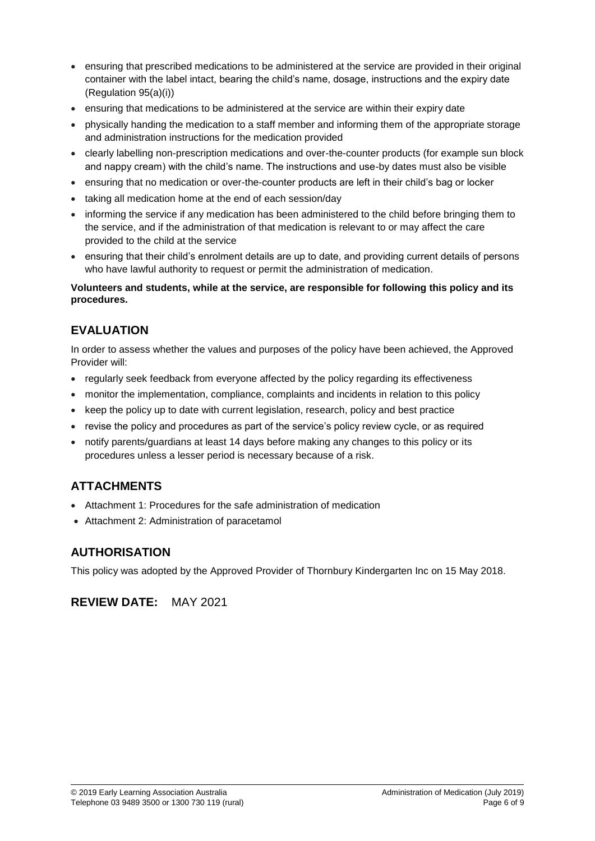- ensuring that prescribed medications to be administered at the service are provided in their original container with the label intact, bearing the child's name, dosage, instructions and the expiry date (Regulation 95(a)(i))
- ensuring that medications to be administered at the service are within their expiry date
- physically handing the medication to a staff member and informing them of the appropriate storage and administration instructions for the medication provided
- clearly labelling non-prescription medications and over-the-counter products (for example sun block and nappy cream) with the child's name. The instructions and use-by dates must also be visible
- ensuring that no medication or over-the-counter products are left in their child's bag or locker
- taking all medication home at the end of each session/day
- informing the service if any medication has been administered to the child before bringing them to the service, and if the administration of that medication is relevant to or may affect the care provided to the child at the service
- ensuring that their child's enrolment details are up to date, and providing current details of persons who have lawful authority to request or permit the administration of medication.

#### **Volunteers and students, while at the service, are responsible for following this policy and its procedures.**

## **EVALUATION**

In order to assess whether the values and purposes of the policy have been achieved, the Approved Provider will:

- regularly seek feedback from everyone affected by the policy regarding its effectiveness
- monitor the implementation, compliance, complaints and incidents in relation to this policy
- keep the policy up to date with current legislation, research, policy and best practice
- revise the policy and procedures as part of the service's policy review cycle, or as required
- notify parents/guardians at least 14 days before making any changes to this policy or its procedures unless a lesser period is necessary because of a risk.

# **ATTACHMENTS**

- Attachment 1: Procedures for the safe administration of medication
- Attachment 2: Administration of paracetamol

## **AUTHORISATION**

This policy was adopted by the Approved Provider of Thornbury Kindergarten Inc on 15 May 2018.

**REVIEW DATE:** MAY 2021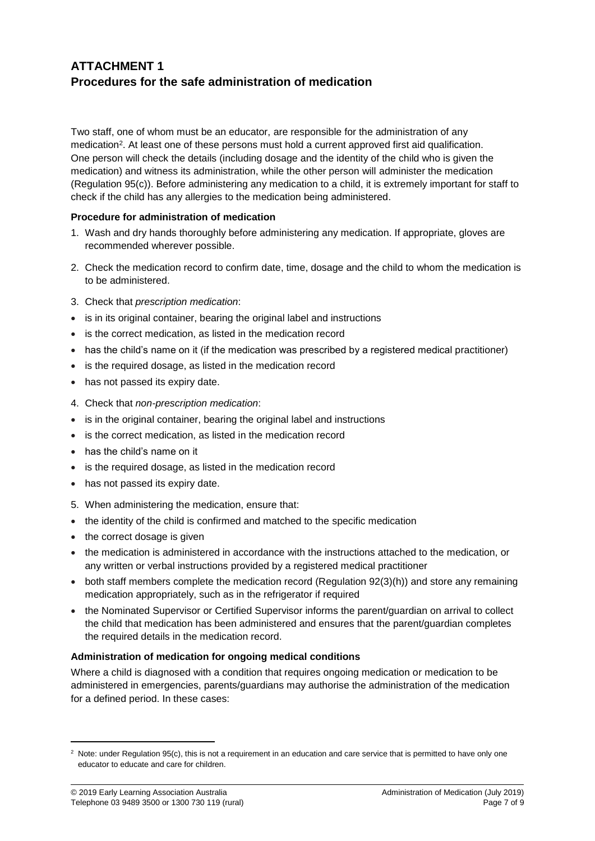## **ATTACHMENT 1 Procedures for the safe administration of medication**

Two staff, one of whom must be an educator, are responsible for the administration of any medication<sup>2</sup>. At least one of these persons must hold a current approved first aid qualification. One person will check the details (including dosage and the identity of the child who is given the medication) and witness its administration, while the other person will administer the medication (Regulation 95(c)). Before administering any medication to a child, it is extremely important for staff to check if the child has any allergies to the medication being administered.

#### **Procedure for administration of medication**

- 1. Wash and dry hands thoroughly before administering any medication. If appropriate, gloves are recommended wherever possible.
- 2. Check the medication record to confirm date, time, dosage and the child to whom the medication is to be administered.
- 3. Check that *prescription medication*:
- is in its original container, bearing the original label and instructions
- is the correct medication, as listed in the medication record
- has the child's name on it (if the medication was prescribed by a registered medical practitioner)
- is the required dosage, as listed in the medication record
- has not passed its expiry date.
- 4. Check that *non-prescription medication*:
- is in the original container, bearing the original label and instructions
- is the correct medication, as listed in the medication record
- has the child's name on it
- is the required dosage, as listed in the medication record
- has not passed its expiry date.
- 5. When administering the medication, ensure that:
- the identity of the child is confirmed and matched to the specific medication
- the correct dosage is given
- the medication is administered in accordance with the instructions attached to the medication, or any written or verbal instructions provided by a registered medical practitioner
- both staff members complete the medication record (Regulation 92(3)(h)) and store any remaining medication appropriately, such as in the refrigerator if required
- the Nominated Supervisor or Certified Supervisor informs the parent/guardian on arrival to collect the child that medication has been administered and ensures that the parent/guardian completes the required details in the medication record.

#### **Administration of medication for ongoing medical conditions**

Where a child is diagnosed with a condition that requires ongoing medication or medication to be administered in emergencies, parents/guardians may authorise the administration of the medication for a defined period. In these cases:

 $\overline{\phantom{a}}$ 

<sup>&</sup>lt;sup>2</sup> Note: under Regulation 95(c), this is not a requirement in an education and care service that is permitted to have only one educator to educate and care for children.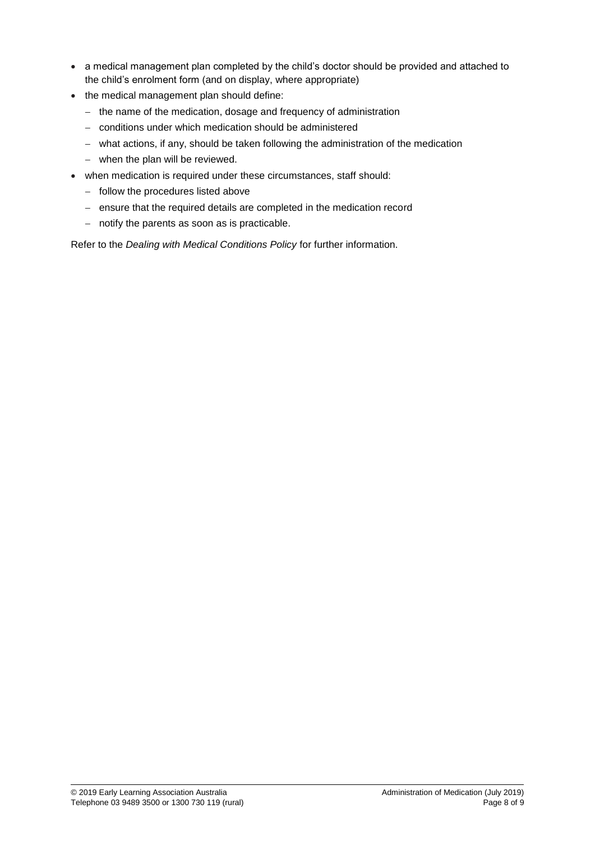- a medical management plan completed by the child's doctor should be provided and attached to the child's enrolment form (and on display, where appropriate)
- the medical management plan should define:
	- − the name of the medication, dosage and frequency of administration
	- − conditions under which medication should be administered
	- − what actions, if any, should be taken following the administration of the medication
	- − when the plan will be reviewed.
- when medication is required under these circumstances, staff should:
	- − follow the procedures listed above
	- − ensure that the required details are completed in the medication record
	- − notify the parents as soon as is practicable.

Refer to the *Dealing with Medical Conditions Policy* for further information.